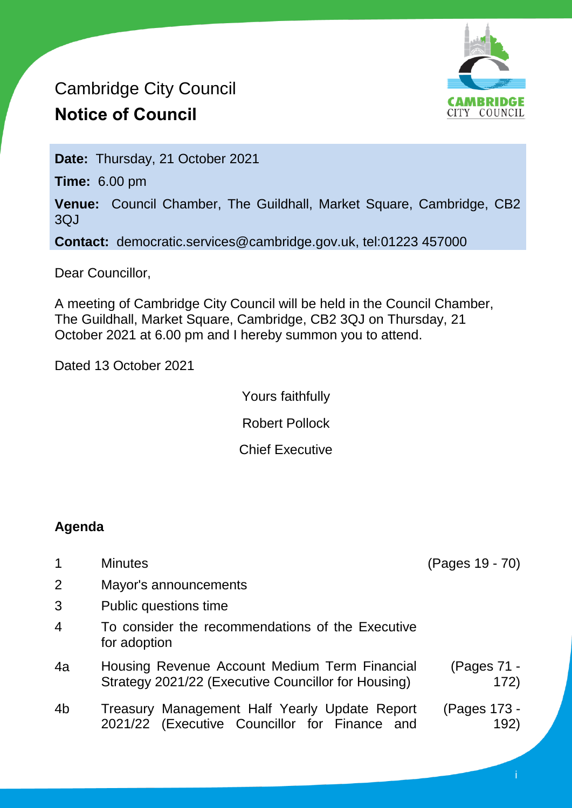# Cambridge City Council **Notice of Council**



**Date:** Thursday, 21 October 2021

**Time:** 6.00 pm

**Venue:** Council Chamber, The Guildhall, Market Square, Cambridge, CB2 3QJ

**Contact:** democratic.services@cambridge.gov.uk, tel:01223 457000

Dear Councillor,

A meeting of Cambridge City Council will be held in the Council Chamber, The Guildhall, Market Square, Cambridge, CB2 3QJ on Thursday, 21 October 2021 at 6.00 pm and I hereby summon you to attend.

Dated 13 October 2021

Yours faithfully Robert Pollock Chief Executive

# **Agenda**

| $\mathbf 1$    | <b>Minutes</b>                                                                                       | (Pages 19 - 70)      |
|----------------|------------------------------------------------------------------------------------------------------|----------------------|
| $\overline{2}$ | Mayor's announcements                                                                                |                      |
| 3              | Public questions time                                                                                |                      |
| $\overline{4}$ | To consider the recommendations of the Executive<br>for adoption                                     |                      |
| 4a             | Housing Revenue Account Medium Term Financial<br>Strategy 2021/22 (Executive Councillor for Housing) | (Pages 71 -<br>172)  |
| 4 <sub>b</sub> | Treasury Management Half Yearly Update Report<br>2021/22 (Executive Councillor for Finance and       | (Pages 173 -<br>192) |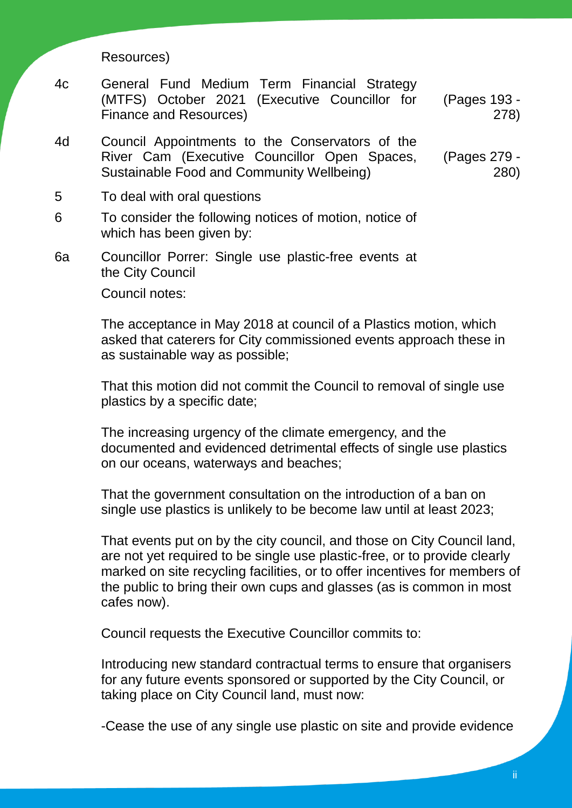Resources)

- 4c General Fund Medium Term Financial Strategy (MTFS) October 2021 (Executive Councillor for Finance and Resources) (Pages 193 - 278)
- 4d Council Appointments to the Conservators of the River Cam (Executive Councillor Open Spaces, Sustainable Food and Community Wellbeing) (Pages 279 - 280)
- 5 To deal with oral questions
- 6 To consider the following notices of motion, notice of which has been given by:
- 6a Councillor Porrer: Single use plastic-free events at the City Council

Council notes:

The acceptance in May 2018 at council of a Plastics motion, which asked that caterers for City commissioned events approach these in as sustainable way as possible;

That this motion did not commit the Council to removal of single use plastics by a specific date;

The increasing urgency of the climate emergency, and the documented and evidenced detrimental effects of single use plastics on our oceans, waterways and beaches;

That the government consultation on the introduction of a ban on single use plastics is unlikely to be become law until at least 2023;

That events put on by the city council, and those on City Council land, are not yet required to be single use plastic-free, or to provide clearly marked on site recycling facilities, or to offer incentives for members of the public to bring their own cups and glasses (as is common in most cafes now).

Council requests the Executive Councillor commits to:

Introducing new standard contractual terms to ensure that organisers for any future events sponsored or supported by the City Council, or taking place on City Council land, must now:

-Cease the use of any single use plastic on site and provide evidence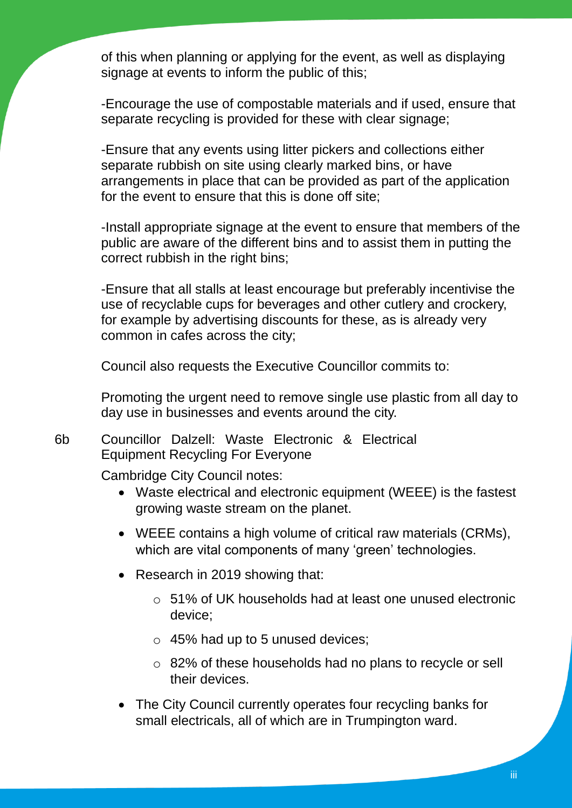of this when planning or applying for the event, as well as displaying signage at events to inform the public of this;

-Encourage the use of compostable materials and if used, ensure that separate recycling is provided for these with clear signage;

-Ensure that any events using litter pickers and collections either separate rubbish on site using clearly marked bins, or have arrangements in place that can be provided as part of the application for the event to ensure that this is done off site;

-Install appropriate signage at the event to ensure that members of the public are aware of the different bins and to assist them in putting the correct rubbish in the right bins;

-Ensure that all stalls at least encourage but preferably incentivise the use of recyclable cups for beverages and other cutlery and crockery, for example by advertising discounts for these, as is already very common in cafes across the city;

Council also requests the Executive Councillor commits to:

Promoting the urgent need to remove single use plastic from all day to day use in businesses and events around the city.

6b Councillor Dalzell: Waste Electronic & Electrical Equipment Recycling For Everyone

Cambridge City Council notes:

- Waste electrical and electronic equipment (WEEE) is the fastest growing waste stream on the planet.
- WEEE contains a high volume of critical raw materials (CRMs), which are vital components of many 'green' technologies.
- Research in 2019 showing that:
	- o 51% of UK households had at least one unused electronic device;
	- $\circ$  45% had up to 5 unused devices;
	- o 82% of these households had no plans to recycle or sell their devices.
- The City Council currently operates four recycling banks for small electricals, all of which are in Trumpington ward.

iii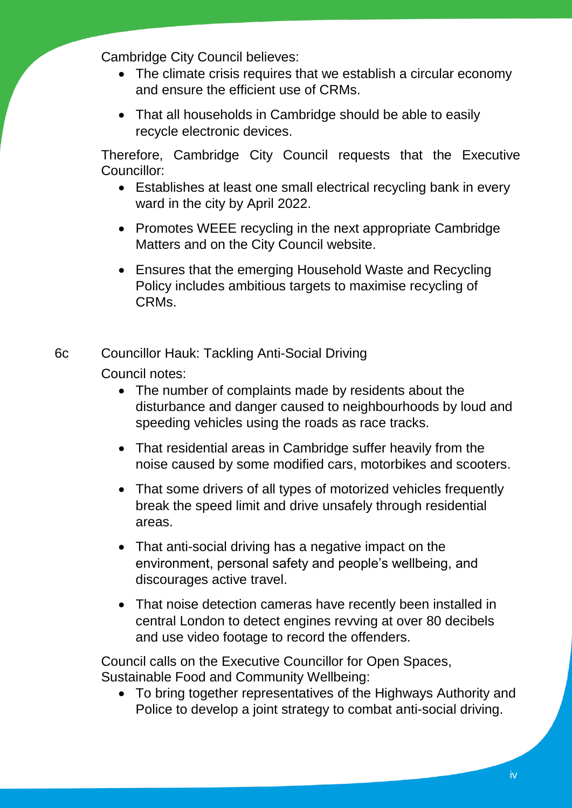Cambridge City Council believes:

- The climate crisis requires that we establish a circular economy and ensure the efficient use of CRMs.
- That all households in Cambridge should be able to easily recycle electronic devices.

Therefore, Cambridge City Council requests that the Executive Councillor:

- Establishes at least one small electrical recycling bank in every ward in the city by April 2022.
- Promotes WEEE recycling in the next appropriate Cambridge Matters and on the City Council website.
- Ensures that the emerging Household Waste and Recycling Policy includes ambitious targets to maximise recycling of CRMs.

6c Councillor Hauk: Tackling Anti-Social Driving Council notes:

- The number of complaints made by residents about the disturbance and danger caused to neighbourhoods by loud and speeding vehicles using the roads as race tracks.
- That residential areas in Cambridge suffer heavily from the noise caused by some modified cars, motorbikes and scooters.
- That some drivers of all types of motorized vehicles frequently break the speed limit and drive unsafely through residential areas.
- That anti-social driving has a negative impact on the environment, personal safety and people's wellbeing, and discourages active travel.
- That noise detection cameras have recently been installed in central London to detect engines revving at over 80 decibels and use video footage to record the offenders.

Council calls on the Executive Councillor for Open Spaces, Sustainable Food and Community Wellbeing:

 To bring together representatives of the Highways Authority and Police to develop a joint strategy to combat anti-social driving.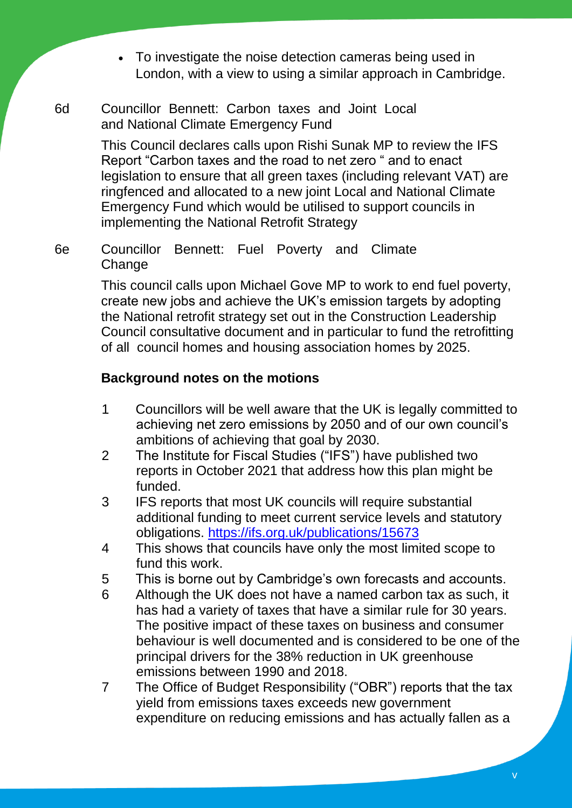- To investigate the noise detection cameras being used in London, with a view to using a similar approach in Cambridge.
- 6d Councillor Bennett: Carbon taxes and Joint Local and National Climate Emergency Fund

This Council declares calls upon Rishi Sunak MP to review the IFS Report "Carbon taxes and the road to net zero " and to enact legislation to ensure that all green taxes (including relevant VAT) are ringfenced and allocated to a new joint Local and National Climate Emergency Fund which would be utilised to support councils in implementing the National Retrofit Strategy

6e Councillor Bennett: Fuel Poverty and Climate **Change** 

> This council calls upon Michael Gove MP to work to end fuel poverty, create new jobs and achieve the UK's emission targets by adopting the National retrofit strategy set out in the Construction Leadership Council consultative document and in particular to fund the retrofitting of all council homes and housing association homes by 2025.

# **Background notes on the motions**

- 1 Councillors will be well aware that the UK is legally committed to achieving net zero emissions by 2050 and of our own council's ambitions of achieving that goal by 2030.
- 2 The Institute for Fiscal Studies ("IFS") have published two reports in October 2021 that address how this plan might be funded.
- 3 IFS reports that most UK councils will require substantial additional funding to meet current service levels and statutory obligations. <https://ifs.org.uk/publications/15673>
- 4 This shows that councils have only the most limited scope to fund this work.
- 5 This is borne out by Cambridge's own forecasts and accounts.
- 6 Although the UK does not have a named carbon tax as such, it has had a variety of taxes that have a similar rule for 30 years. The positive impact of these taxes on business and consumer behaviour is well documented and is considered to be one of the principal drivers for the 38% reduction in UK greenhouse emissions between 1990 and 2018.
- 7 The Office of Budget Responsibility ("OBR") reports that the tax yield from emissions taxes exceeds new government expenditure on reducing emissions and has actually fallen as a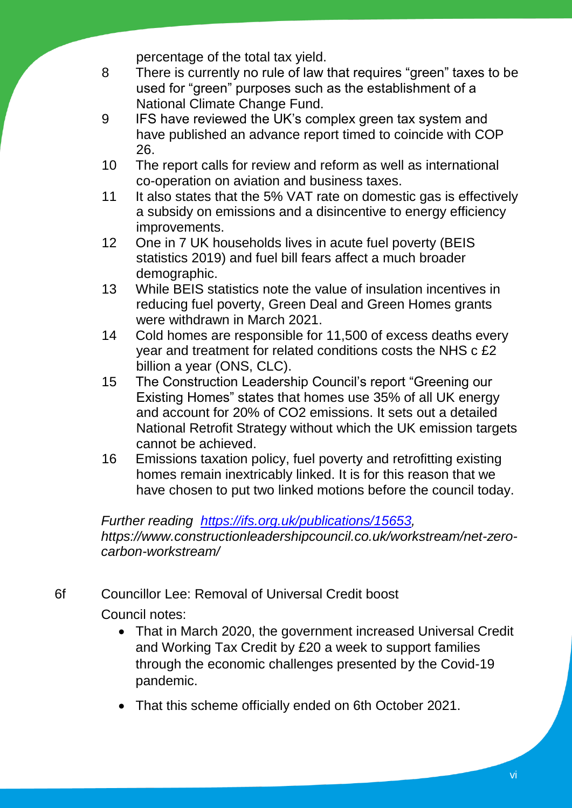percentage of the total tax yield.

- 8 There is currently no rule of law that requires "green" taxes to be used for "green" purposes such as the establishment of a National Climate Change Fund.
- 9 IFS have reviewed the UK's complex green tax system and have published an advance report timed to coincide with COP 26.
- 10 The report calls for review and reform as well as international co-operation on aviation and business taxes.
- 11 It also states that the 5% VAT rate on domestic gas is effectively a subsidy on emissions and a disincentive to energy efficiency improvements.
- 12 One in 7 UK households lives in acute fuel poverty (BEIS statistics 2019) and fuel bill fears affect a much broader demographic.
- 13 While BEIS statistics note the value of insulation incentives in reducing fuel poverty, Green Deal and Green Homes grants were withdrawn in March 2021.
- 14 Cold homes are responsible for 11,500 of excess deaths every year and treatment for related conditions costs the NHS c £2 billion a year (ONS, CLC).
- 15 The Construction Leadership Council's report "Greening our Existing Homes" states that homes use 35% of all UK energy and account for 20% of CO2 emissions. It sets out a detailed National Retrofit Strategy without which the UK emission targets cannot be achieved.
- 16 Emissions taxation policy, fuel poverty and retrofitting existing homes remain inextricably linked. It is for this reason that we have chosen to put two linked motions before the council today.

*Further reading [https://ifs.org.uk/publications/15653,](https://ifs.org.uk/publications/15653) https://www.constructionleadershipcouncil.co.uk/workstream/net-zerocarbon-workstream/*

6f Councillor Lee: Removal of Universal Credit boost

Council notes:

- That in March 2020, the government increased Universal Credit and Working Tax Credit by £20 a week to support families through the economic challenges presented by the Covid-19 pandemic.
- That this scheme officially ended on 6th October 2021.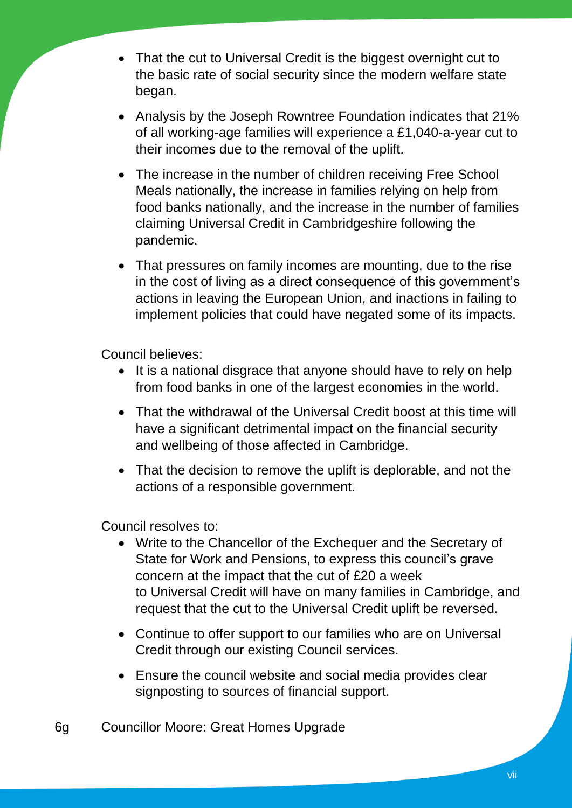- That the cut to Universal Credit is the biggest overnight cut to the basic rate of social security since the modern welfare state began.
- Analysis by the Joseph Rowntree Foundation indicates that 21% of all working-age families will experience a £1,040-a-year cut to their incomes due to the removal of the uplift.
- The increase in the number of children receiving Free School Meals nationally, the increase in families relying on help from food banks nationally, and the increase in the number of families claiming Universal Credit in Cambridgeshire following the pandemic.
- That pressures on family incomes are mounting, due to the rise in the cost of living as a direct consequence of this government's actions in leaving the European Union, and inactions in failing to implement policies that could have negated some of its impacts.

Council believes:

- It is a national disgrace that anyone should have to rely on help from food banks in one of the largest economies in the world.
- That the withdrawal of the Universal Credit boost at this time will have a significant detrimental impact on the financial security and wellbeing of those affected in Cambridge.
- That the decision to remove the uplift is deplorable, and not the actions of a responsible government.

Council resolves to:

- Write to the Chancellor of the Exchequer and the Secretary of State for Work and Pensions, to express this council's grave concern at the impact that the cut of £20 a week to Universal Credit will have on many families in Cambridge, and request that the cut to the Universal Credit uplift be reversed.
- Continue to offer support to our families who are on Universal Credit through our existing Council services.
- Ensure the council website and social media provides clear signposting to sources of financial support.

6g Councillor Moore: Great Homes Upgrade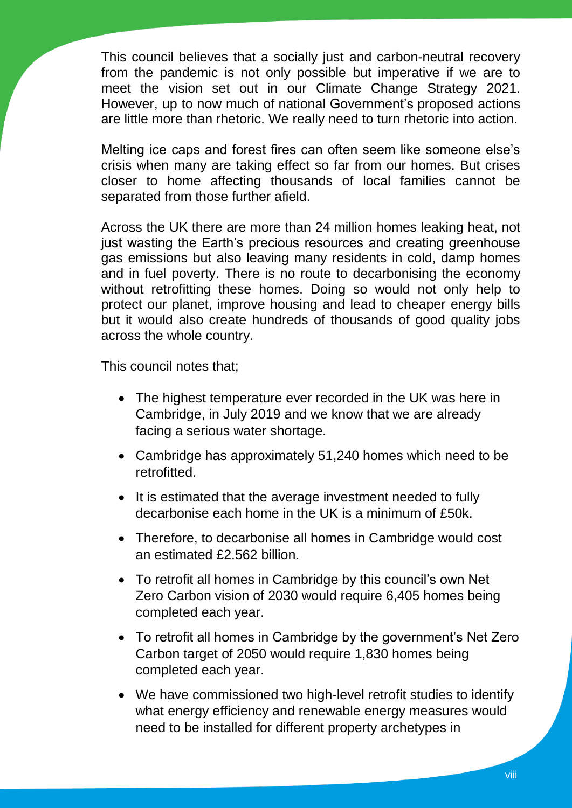This council believes that a socially just and carbon-neutral recovery from the pandemic is not only possible but imperative if we are to meet the vision set out in our Climate Change Strategy 2021. However, up to now much of national Government's proposed actions are little more than rhetoric. We really need to turn rhetoric into action.

Melting ice caps and forest fires can often seem like someone else's crisis when many are taking effect so far from our homes. But crises closer to home affecting thousands of local families cannot be separated from those further afield.

Across the UK there are more than 24 million homes leaking heat, not just wasting the Earth's precious resources and creating greenhouse gas emissions but also leaving many residents in cold, damp homes and in fuel poverty. There is no route to decarbonising the economy without retrofitting these homes. Doing so would not only help to protect our planet, improve housing and lead to cheaper energy bills but it would also create hundreds of thousands of good quality jobs across the whole country.

This council notes that;

- The highest temperature ever recorded in the UK was here in Cambridge, in July 2019 and we know that we are already facing a serious water shortage.
- Cambridge has approximately 51,240 homes which need to be retrofitted.
- It is estimated that the average investment needed to fully decarbonise each home in the UK is a minimum of £50k.
- Therefore, to decarbonise all homes in Cambridge would cost an estimated £2.562 billion.
- To retrofit all homes in Cambridge by this council's own Net Zero Carbon vision of 2030 would require 6,405 homes being completed each year.
- To retrofit all homes in Cambridge by the government's Net Zero Carbon target of 2050 would require 1,830 homes being completed each year.
- We have commissioned two high-level retrofit studies to identify what energy efficiency and renewable energy measures would need to be installed for different property archetypes in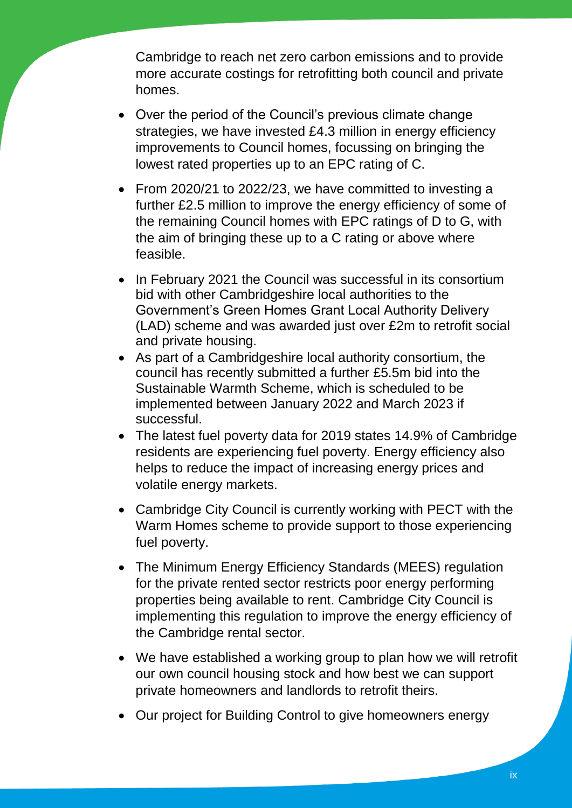Cambridge to reach net zero carbon emissions and to provide more accurate costings for retrofitting both council and private homes.

- Over the period of the Council's previous climate change strategies, we have invested £4.3 million in energy efficiency improvements to Council homes, focussing on bringing the lowest rated properties up to an EPC rating of C.
- From 2020/21 to 2022/23, we have committed to investing a further £2.5 million to improve the energy efficiency of some of the remaining Council homes with EPC ratings of D to G, with the aim of bringing these up to a C rating or above where feasible.
- In February 2021 the Council was successful in its consortium bid with other Cambridgeshire local authorities to the Government's Green Homes Grant Local Authority Delivery (LAD) scheme and was awarded just over £2m to retrofit social and private housing.
- As part of a Cambridgeshire local authority consortium, the council has recently submitted a further £5.5m bid into the Sustainable Warmth Scheme, which is scheduled to be implemented between January 2022 and March 2023 if successful.
- The latest fuel poverty data for 2019 states 14.9% of Cambridge residents are experiencing fuel poverty. Energy efficiency also helps to reduce the impact of increasing energy prices and volatile energy markets.
- Cambridge City Council is currently working with PECT with the Warm Homes scheme to provide support to those experiencing fuel poverty.
- The Minimum Energy Efficiency Standards (MEES) regulation for the private rented sector restricts poor energy performing properties being available to rent. Cambridge City Council is implementing this regulation to improve the energy efficiency of the Cambridge rental sector.
- We have established a working group to plan how we will retrofit our own council housing stock and how best we can support private homeowners and landlords to retrofit theirs.
- Our project for Building Control to give homeowners energy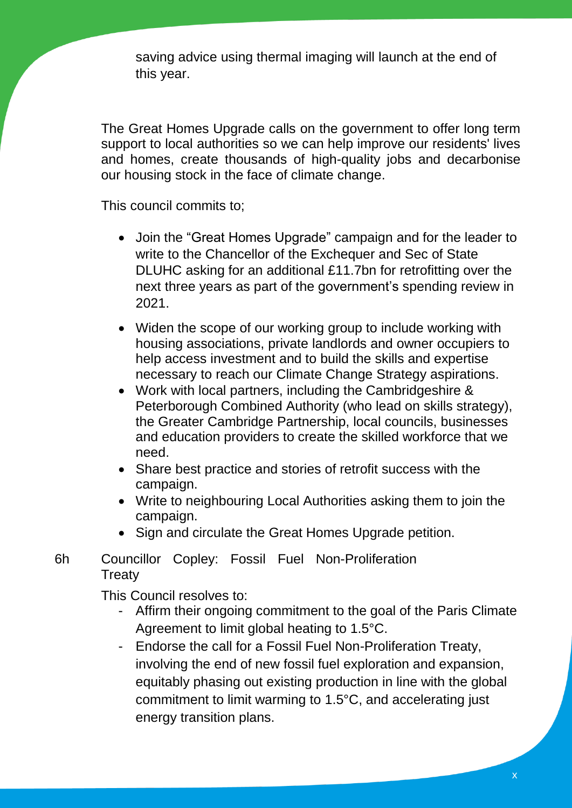saving advice using thermal imaging will launch at the end of this year.

The Great Homes Upgrade calls on the government to offer long term support to local authorities so we can help improve our residents' lives and homes, create thousands of high-quality jobs and decarbonise our housing stock in the face of climate change.

This council commits to;

- Join the "Great Homes Upgrade" campaign and for the leader to write to the Chancellor of the Exchequer and Sec of State DLUHC asking for an additional £11.7bn for retrofitting over the next three years as part of the government's spending review in 2021.
- Widen the scope of our working group to include working with housing associations, private landlords and owner occupiers to help access investment and to build the skills and expertise necessary to reach our Climate Change Strategy aspirations.
- Work with local partners, including the Cambridgeshire & Peterborough Combined Authority (who lead on skills strategy), the Greater Cambridge Partnership, local councils, businesses and education providers to create the skilled workforce that we need.
- Share best practice and stories of retrofit success with the campaign.
- Write to neighbouring Local Authorities asking them to join the campaign.
- Sign and circulate the Great Homes Upgrade petition.

6h Councillor Copley: Fossil Fuel Non-Proliferation **Treaty** 

This Council resolves to:

- Affirm their ongoing commitment to the goal of the Paris Climate Agreement to limit global heating to 1.5°C.
- Endorse the call for a Fossil Fuel Non-Proliferation Treaty, involving the end of new fossil fuel exploration and expansion, equitably phasing out existing production in line with the global commitment to limit warming to 1.5°C, and accelerating just energy transition plans.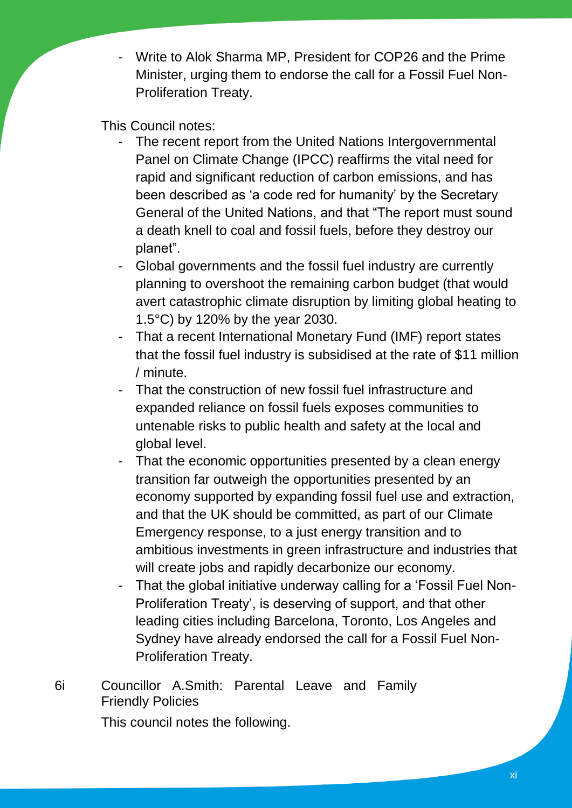- Write to Alok Sharma MP, President for COP26 and the Prime Minister, urging them to endorse the call for a Fossil Fuel Non-Proliferation Treaty.

This Council notes:

- The recent report from the United Nations Intergovernmental Panel on Climate Change (IPCC) reaffirms the vital need for rapid and significant reduction of carbon emissions, and has been described as 'a code red for humanity' by the Secretary General of the United Nations, and that "The report must sound a death knell to coal and fossil fuels, before they destroy our planet".
- Global governments and the fossil fuel industry are currently planning to overshoot the remaining carbon budget (that would avert catastrophic climate disruption by limiting global heating to 1.5°C) by 120% by the year 2030.
- That a recent International Monetary Fund (IMF) report states that the fossil fuel industry is subsidised at the rate of \$11 million / minute.
- That the construction of new fossil fuel infrastructure and expanded reliance on fossil fuels exposes communities to untenable risks to public health and safety at the local and global level.
- That the economic opportunities presented by a clean energy transition far outweigh the opportunities presented by an economy supported by expanding fossil fuel use and extraction, and that the UK should be committed, as part of our Climate Emergency response, to a just energy transition and to ambitious investments in green infrastructure and industries that will create jobs and rapidly decarbonize our economy.
- That the global initiative underway calling for a 'Fossil Fuel Non-Proliferation Treaty', is deserving of support, and that other leading cities including Barcelona, Toronto, Los Angeles and Sydney have already endorsed the call for a Fossil Fuel Non-Proliferation Treaty.

# 6i Councillor A.Smith: Parental Leave and Family Friendly Policies

This council notes the following.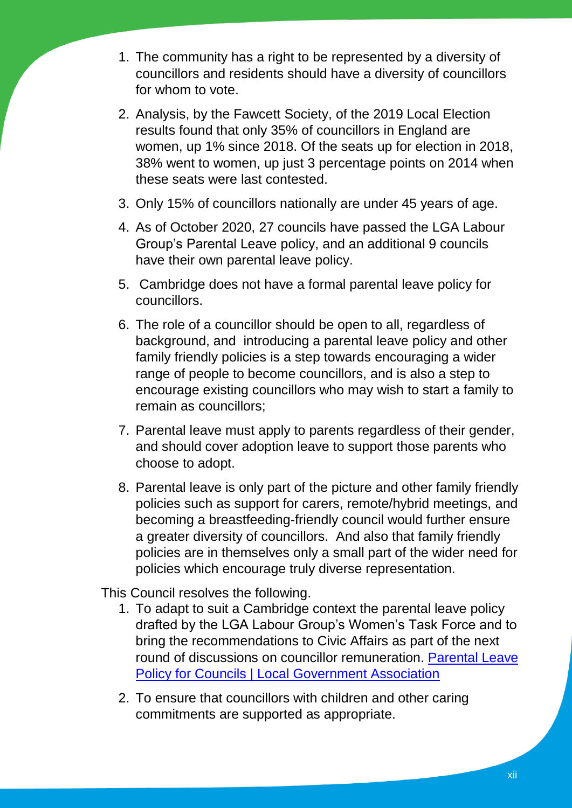- 1. The community has a right to be represented by a diversity of councillors and residents should have a diversity of councillors for whom to vote.
- 2. Analysis, by the Fawcett Society, of the 2019 Local Election results found that only 35% of councillors in England are women, up 1% since 2018. Of the seats up for election in 2018, 38% went to women, up just 3 percentage points on 2014 when these seats were last contested.
- 3. Only 15% of councillors nationally are under 45 years of age.
- 4. As of October 2020, 27 councils have passed the LGA Labour Group's Parental Leave policy, and an additional 9 councils have their own parental leave policy.
- 5. Cambridge does not have a formal parental leave policy for councillors.
- 6. The role of a councillor should be open to all, regardless of background, and introducing a parental leave policy and other family friendly policies is a step towards encouraging a wider range of people to become councillors, and is also a step to encourage existing councillors who may wish to start a family to remain as councillors;
- 7. Parental leave must apply to parents regardless of their gender, and should cover adoption leave to support those parents who choose to adopt.
- 8. Parental leave is only part of the picture and other family friendly policies such as support for carers, remote/hybrid meetings, and becoming a breastfeeding-friendly council would further ensure a greater diversity of councillors. And also that family friendly policies are in themselves only a small part of the wider need for policies which encourage truly diverse representation.

This Council resolves the following.

- 1. To adapt to suit a Cambridge context the parental leave policy drafted by the LGA Labour Group's Women's Task Force and to bring the recommendations to Civic Affairs as part of the next round of discussions on councillor remuneration. [Parental Leave](https://local.gov.uk/parental-leave-policy-councils)  [Policy for Councils | Local Government Association](https://local.gov.uk/parental-leave-policy-councils)
- 2. To ensure that councillors with children and other caring commitments are supported as appropriate.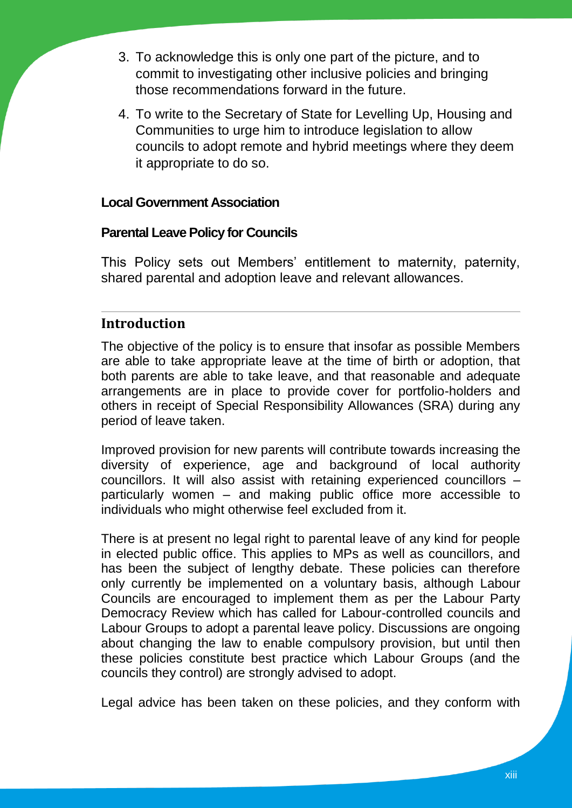- 3. To acknowledge this is only one part of the picture, and to commit to investigating other inclusive policies and bringing those recommendations forward in the future.
- 4. To write to the Secretary of State for Levelling Up, Housing and Communities to urge him to introduce legislation to allow councils to adopt remote and hybrid meetings where they deem it appropriate to do so.

#### **Local Government Association**

#### **Parental Leave Policy for Councils**

This Policy sets out Members' entitlement to maternity, paternity, shared parental and adoption leave and relevant allowances.

#### **Introduction**

The objective of the policy is to ensure that insofar as possible Members are able to take appropriate leave at the time of birth or adoption, that both parents are able to take leave, and that reasonable and adequate arrangements are in place to provide cover for portfolio-holders and others in receipt of Special Responsibility Allowances (SRA) during any period of leave taken.

Improved provision for new parents will contribute towards increasing the diversity of experience, age and background of local authority councillors. It will also assist with retaining experienced councillors – particularly women – and making public office more accessible to individuals who might otherwise feel excluded from it.

There is at present no legal right to parental leave of any kind for people in elected public office. This applies to MPs as well as councillors, and has been the subject of lengthy debate. These policies can therefore only currently be implemented on a voluntary basis, although Labour Councils are encouraged to implement them as per the Labour Party Democracy Review which has called for Labour-controlled councils and Labour Groups to adopt a parental leave policy. Discussions are ongoing about changing the law to enable compulsory provision, but until then these policies constitute best practice which Labour Groups (and the councils they control) are strongly advised to adopt.

Legal advice has been taken on these policies, and they conform with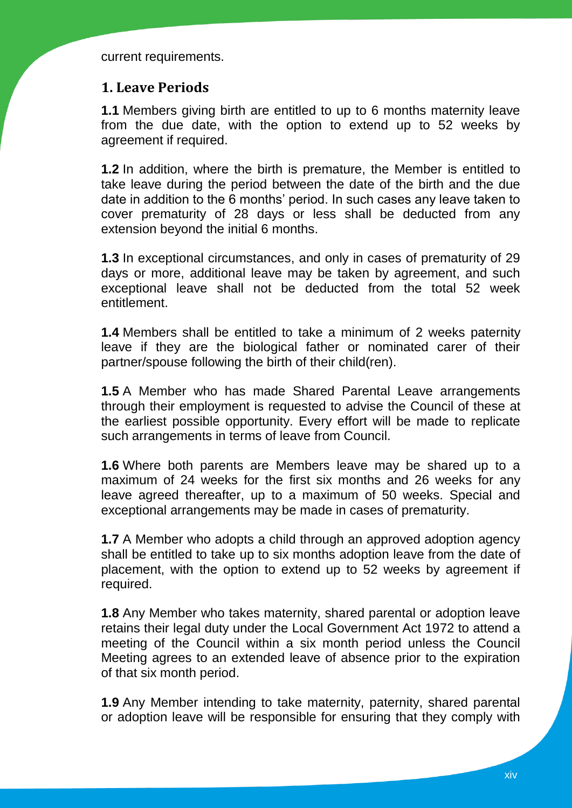current requirements.

#### **1. Leave Periods**

**1.1** Members giving birth are entitled to up to 6 months maternity leave from the due date, with the option to extend up to 52 weeks by agreement if required.

**1.2** In addition, where the birth is premature, the Member is entitled to take leave during the period between the date of the birth and the due date in addition to the 6 months' period. In such cases any leave taken to cover prematurity of 28 days or less shall be deducted from any extension beyond the initial 6 months.

**1.3** In exceptional circumstances, and only in cases of prematurity of 29 days or more, additional leave may be taken by agreement, and such exceptional leave shall not be deducted from the total 52 week entitlement.

**1.4** Members shall be entitled to take a minimum of 2 weeks paternity leave if they are the biological father or nominated carer of their partner/spouse following the birth of their child(ren).

**1.5** A Member who has made Shared Parental Leave arrangements through their employment is requested to advise the Council of these at the earliest possible opportunity. Every effort will be made to replicate such arrangements in terms of leave from Council.

**1.6** Where both parents are Members leave may be shared up to a maximum of 24 weeks for the first six months and 26 weeks for any leave agreed thereafter, up to a maximum of 50 weeks. Special and exceptional arrangements may be made in cases of prematurity.

**1.7** A Member who adopts a child through an approved adoption agency shall be entitled to take up to six months adoption leave from the date of placement, with the option to extend up to 52 weeks by agreement if required.

**1.8** Any Member who takes maternity, shared parental or adoption leave retains their legal duty under the Local Government Act 1972 to attend a meeting of the Council within a six month period unless the Council Meeting agrees to an extended leave of absence prior to the expiration of that six month period.

**1.9** Any Member intending to take maternity, paternity, shared parental or adoption leave will be responsible for ensuring that they comply with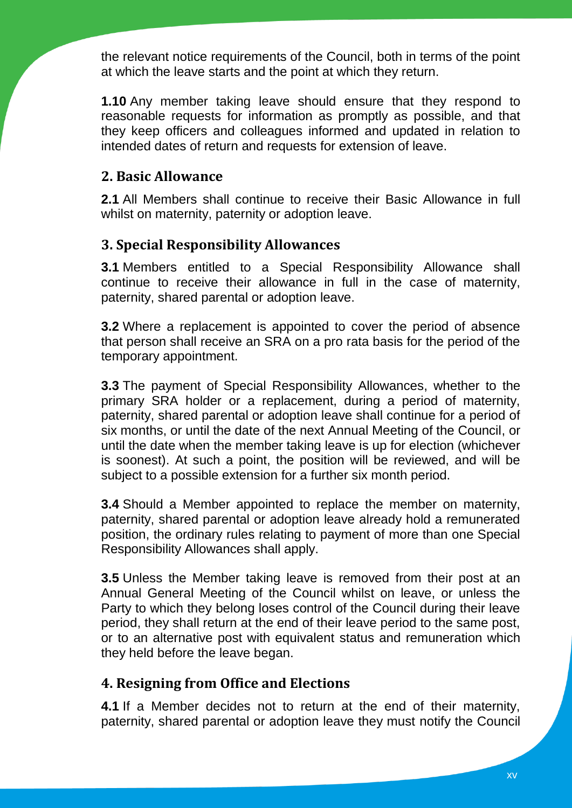the relevant notice requirements of the Council, both in terms of the point at which the leave starts and the point at which they return.

**1.10** Any member taking leave should ensure that they respond to reasonable requests for information as promptly as possible, and that they keep officers and colleagues informed and updated in relation to intended dates of return and requests for extension of leave.

## **2. Basic Allowance**

**2.1** All Members shall continue to receive their Basic Allowance in full whilst on maternity, paternity or adoption leave.

### **3. Special Responsibility Allowances**

**3.1** Members entitled to a Special Responsibility Allowance shall continue to receive their allowance in full in the case of maternity, paternity, shared parental or adoption leave.

**3.2** Where a replacement is appointed to cover the period of absence that person shall receive an SRA on a pro rata basis for the period of the temporary appointment.

**3.3** The payment of Special Responsibility Allowances, whether to the primary SRA holder or a replacement, during a period of maternity, paternity, shared parental or adoption leave shall continue for a period of six months, or until the date of the next Annual Meeting of the Council, or until the date when the member taking leave is up for election (whichever is soonest). At such a point, the position will be reviewed, and will be subject to a possible extension for a further six month period.

**3.4** Should a Member appointed to replace the member on maternity, paternity, shared parental or adoption leave already hold a remunerated position, the ordinary rules relating to payment of more than one Special Responsibility Allowances shall apply.

**3.5** Unless the Member taking leave is removed from their post at an Annual General Meeting of the Council whilst on leave, or unless the Party to which they belong loses control of the Council during their leave period, they shall return at the end of their leave period to the same post, or to an alternative post with equivalent status and remuneration which they held before the leave began.

# **4. Resigning from Office and Elections**

**4.1** If a Member decides not to return at the end of their maternity, paternity, shared parental or adoption leave they must notify the Council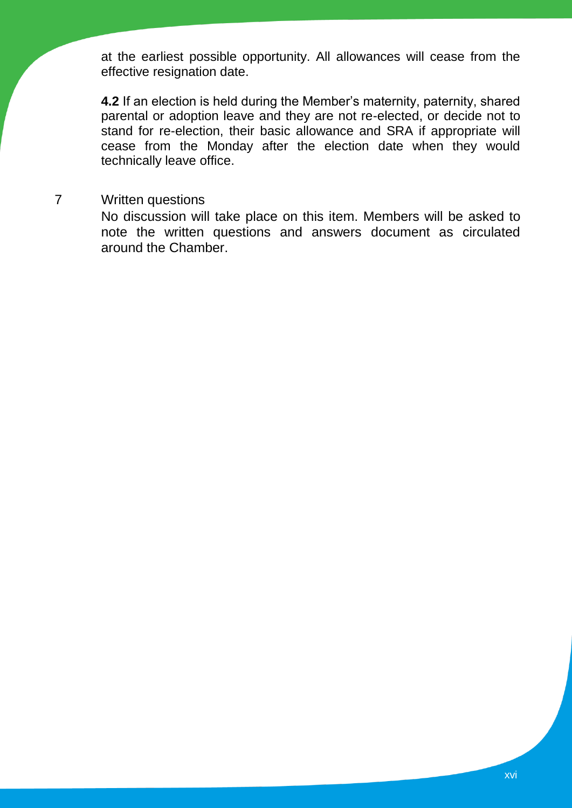at the earliest possible opportunity. All allowances will cease from the effective resignation date.

**4.2** If an election is held during the Member's maternity, paternity, shared parental or adoption leave and they are not re-elected, or decide not to stand for re-election, their basic allowance and SRA if appropriate will cease from the Monday after the election date when they would technically leave office.

## 7 Written questions

No discussion will take place on this item. Members will be asked to note the written questions and answers document as circulated around the Chamber.